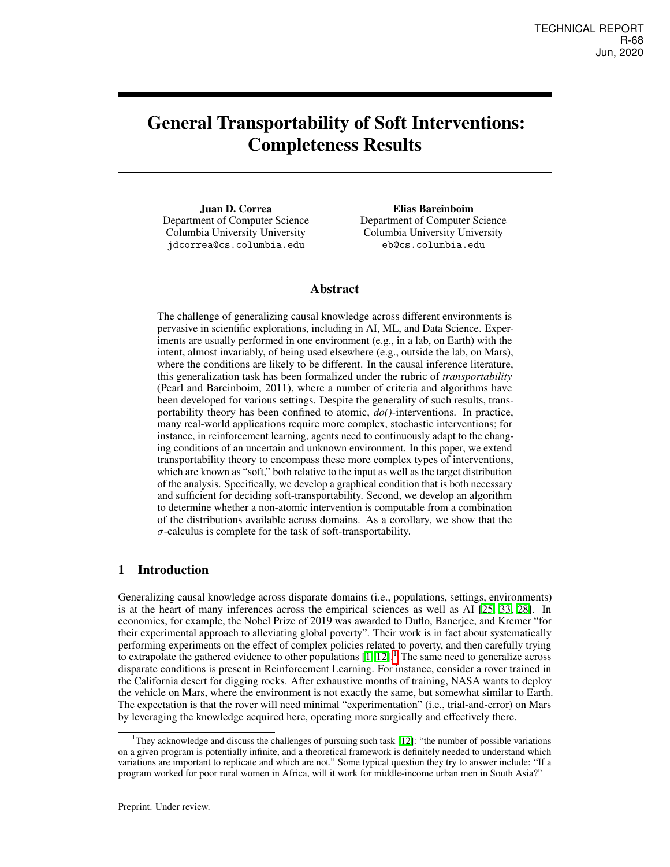# General Transportability of Soft Interventions: Completeness Results

Juan D. Correa Department of Computer Science Columbia University University jdcorrea@cs.columbia.edu

Elias Bareinboim Department of Computer Science Columbia University University eb@cs.columbia.edu

## Abstract

The challenge of generalizing causal knowledge across different environments is pervasive in scientific explorations, including in AI, ML, and Data Science. Experiments are usually performed in one environment (e.g., in a lab, on Earth) with the intent, almost invariably, of being used elsewhere (e.g., outside the lab, on Mars), where the conditions are likely to be different. In the causal inference literature, this generalization task has been formalized under the rubric of *transportability* (Pearl and Bareinboim, 2011), where a number of criteria and algorithms have been developed for various settings. Despite the generality of such results, transportability theory has been confined to atomic,  $d\rho$ )-interventions. In practice, many real-world applications require more complex, stochastic interventions; for instance, in reinforcement learning, agents need to continuously adapt to the changing conditions of an uncertain and unknown environment. In this paper, we extend transportability theory to encompass these more complex types of interventions, which are known as "soft," both relative to the input as well as the target distribution of the analysis. Specifically, we develop a graphical condition that is both necessary and sufficient for deciding soft-transportability. Second, we develop an algorithm to determine whether a non-atomic intervention is computable from a combination of the distributions available across domains. As a corollary, we show that the  $\sigma$ -calculus is complete for the task of soft-transportability.

## 1 Introduction

Generalizing causal knowledge across disparate domains (i.e., populations, settings, environments) is at the heart of many inferences across the empirical sciences as well as AI  $\left[\frac{25}{33}, \frac{28}{33}\right]$ . In economics, for example, the Nobel Prize of 2019 was awarded to Duflo, Banerjee, and Kremer "for their experimental approach to alleviating global poverty". Their work is in fact about systematically performing experiments on the effect of complex policies related to poverty, and then carefully trying to extrapolate the gathered evidence to other populations  $\left[\frac{1}{2}\right]$ . The same need to generalize across disparate conditions is present in Reinforcement Learning. For instance, consider a rover trained in the California desert for digging rocks. After exhaustive months of training, NASA wants to deploy the vehicle on Mars, where the environment is not exactly the same, but somewhat similar to Earth. The expectation is that the rover will need minimal "experimentation" (i.e., trial-and-error) on Mars by leveraging the knowledge acquired here, operating more surgically and effectively there.

<span id="page-0-0"></span><sup>&</sup>lt;sup>1</sup>They acknowledge and discuss the challenges of pursuing such task  $[12]$ : "the number of possible variations on a given program is potentially infinite, and a theoretical framework is definitely needed to understand which variations are important to replicate and which are not." Some typical question they try to answer include: "If a program worked for poor rural women in Africa, will it work for middle-income urban men in South Asia?"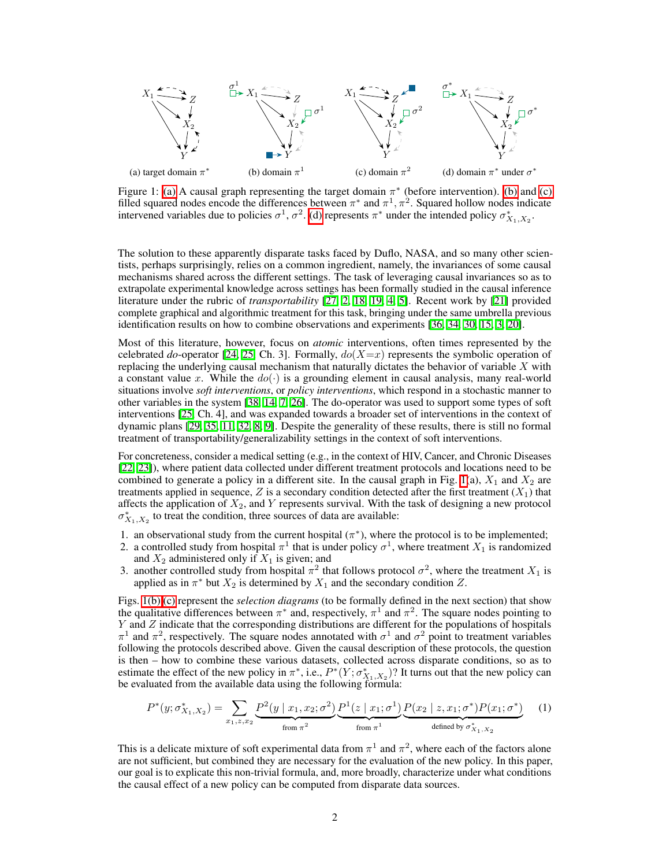<span id="page-1-0"></span>

Figure 1:  $\overline{(\mathbf{a})}$  A causal graph representing the target domain  $\pi^*$  (before intervention).  $\overline{(\mathbf{b})}$  and  $\overline{(\mathbf{c})}$ filled squared nodes encode the differences between  $\pi^*$  and  $\pi^1$ ,  $\pi^2$ . Squared hollow nodes indicate intervened variables due to policies  $\sigma^1$ ,  $\sigma^2$ . [\(d\)](#page-1-0) represents  $\pi^*$  under the intended policy  $\sigma^*_{X_1,X_2}$ .

The solution to these apparently disparate tasks faced by Duflo, NASA, and so many other scientists, perhaps surprisingly, relies on a common ingredient, namely, the invariances of some causal mechanisms shared across the different settings. The task of leveraging causal invariances so as to extrapolate experimental knowledge across settings has been formally studied in the causal inference literature under the rubric of *transportability* [\[27,](#page-9-3) [2,](#page-8-2) [18,](#page-8-3) [19,](#page-8-4) [4,](#page-8-5) [5\]](#page-8-6). Recent work by [\[21\]](#page-9-4) provided complete graphical and algorithmic treatment for this task, bringing under the same umbrella previous identification results on how to combine observations and experiments [\[36,](#page-9-5) [34,](#page-9-6) [30,](#page-9-7) [15,](#page-8-7) [3,](#page-8-8) [20\]](#page-9-8).

Most of this literature, however, focus on *atomic* interventions, often times represented by the celebrated *do*-operator  $[24, 25]$  $[24, 25]$ , Ch. 3]. Formally,  $do(X=x)$  represents the symbolic operation of replacing the underlying causal mechanism that naturally dictates the behavior of variable *X* with a constant value x. While the  $do(\cdot)$  is a grounding element in causal analysis, many real-world situations involve *soft interventions*, or *policy interventions*, which respond in a stochastic manner to other variables in the system  $[38, 14, 7, 26]$  $[38, 14, 7, 26]$  $[38, 14, 7, 26]$  $[38, 14, 7, 26]$  $[38, 14, 7, 26]$  $[38, 14, 7, 26]$  $[38, 14, 7, 26]$ . The do-operator was used to support some types of soft interventions [\[25,](#page-9-0) Ch. 4], and was expanded towards a broader set of interventions in the context of dynamic plans  $[29, 35, 11, 32, 8, 9]$  $[29, 35, 11, 32, 8, 9]$  $[29, 35, 11, 32, 8, 9]$  $[29, 35, 11, 32, 8, 9]$  $[29, 35, 11, 32, 8, 9]$  $[29, 35, 11, 32, 8, 9]$  $[29, 35, 11, 32, 8, 9]$  $[29, 35, 11, 32, 8, 9]$  $[29, 35, 11, 32, 8, 9]$  $[29, 35, 11, 32, 8, 9]$  $[29, 35, 11, 32, 8, 9]$ . Despite the generality of these results, there is still no formal treatment of transportability/generalizability settings in the context of soft interventions.

For concreteness, consider a medical setting (e.g., in the context of HIV, Cancer, and Chronic Diseases  $[22, 23]$  $[22, 23]$  $[22, 23]$ ), where patient data collected under different treatment protocols and locations need to be combined to generate a policy in a different site. In the causal graph in Fig.  $\prod_{i=1}^{n} (a_i)$ ,  $X_1$  and  $X_2$  are treatments applied in sequence,  $Z$  is a secondary condition detected after the first treatment  $(X_1)$  that affects the application of *X*2, and *Y* represents survival. With the task of designing a new protocol  $\sigma_{X_1, X_2}^*$  to treat the condition, three sources of data are available:

- 1. an observational study from the current hospital  $(\pi^*)$ , where the protocol is to be implemented;
- 2. a controlled study from hospital  $\pi^1$  that is under policy  $\sigma^1$ , where treatment  $X_1$  is randomized and  $X_2$  administered only if  $X_1$  is given; and
- 3. another controlled study from hospital  $\pi^2$  that follows protocol  $\sigma^2$ , where the treatment  $X_1$  is applied as in  $\pi^*$  but  $X_2$  is determined by  $X_1$  and the secondary condition  $Z$ .

Figs.  $\overline{I(b)}$  represent the *selection diagrams* (to be formally defined in the next section) that show the qualitative differences between  $\pi^*$  and, respectively,  $\pi^1$  and  $\pi^2$ . The square nodes pointing to *Y* and *Z* indicate that the corresponding distributions are different for the populations of hospitals  $\pi^1$  and  $\pi^2$ , respectively. The square nodes annotated with  $\sigma^1$  and  $\sigma^2$  point to treatment variables following the protocols described above. Given the causal description of these protocols, the question is then – how to combine these various datasets, collected across disparate conditions, so as to estimate the effect of the new policy in  $\pi^*$ , i.e.,  $P^*(Y; \sigma_{X_1, X_2}^*)$ ? It turns out that the new policy can be evaluated from the available data using the following formula:

<span id="page-1-1"></span>
$$
P^*(y; \sigma_{X_1, X_2}^*) = \sum_{x_1, z, x_2} \underbrace{P^2(y \mid x_1, x_2; \sigma^2)}_{\text{from } \pi^2} \underbrace{P^1(z \mid x_1; \sigma^1)}_{\text{from } \pi^1} \underbrace{P(x_2 \mid z, x_1; \sigma^*) P(x_1; \sigma^*)}_{\text{defined by } \sigma_{X_1, X_2}^*} \tag{1}
$$

This is a delicate mixture of soft experimental data from  $\pi^1$  and  $\pi^2$ , where each of the factors alone are not sufficient, but combined they are necessary for the evaluation of the new policy. In this paper, our goal is to explicate this non-trivial formula, and, more broadly, characterize under what conditions the causal effect of a new policy can be computed from disparate data sources.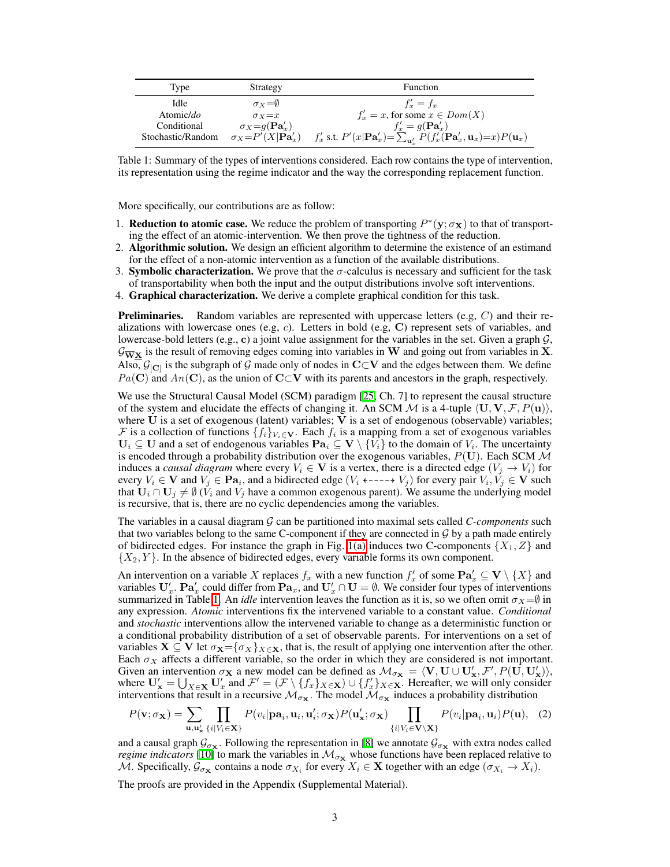<span id="page-2-0"></span>

| Type              | Strategy                           | Function                                                                                                           |
|-------------------|------------------------------------|--------------------------------------------------------------------------------------------------------------------|
| Idle              | $\sigma x = \emptyset$             | $f'_x = f_x$                                                                                                       |
| Atomic/ $do$      | $\sigma x = x$                     | $f'_x = x$ , for some $x \in Dom(X)$                                                                               |
| Conditional       | $\sigma_X = g(\mathbf{Pa}'_x)$     | $f'_x = g(\mathbf{Pa}'_x)$                                                                                         |
| Stochastic/Random | $\sigma_X = P'(X  \mathbf{Pa}_x')$ | $f'_x$ s.t. $P'(x \mathbf{Pa}'_x) = \sum_{\mathbf{u}'_x} P(f'_x(\mathbf{Pa}'_x, \mathbf{u}_x) = x)P(\mathbf{u}_x)$ |

Table 1: Summary of the types of interventions considered. Each row contains the type of intervention, its representation using the regime indicator and the way the corresponding replacement function.

More specifically, our contributions are as follow:

- 1. **Reduction to atomic case.** We reduce the problem of transporting  $P^*(y; \sigma_X)$  to that of transporting the effect of an atomic-intervention. We then prove the tightness of the reduction.
- 2. Algorithmic solution. We design an efficient algorithm to determine the existence of an estimand for the effect of a non-atomic intervention as a function of the available distributions.
- 3. Symbolic characterization. We prove that the  $\sigma$ -calculus is necessary and sufficient for the task of transportability when both the input and the output distributions involve soft interventions.
- 4. Graphical characterization. We derive a complete graphical condition for this task.

Preliminaries. Random variables are represented with uppercase letters (e.g, *C*) and their realizations with lowercase ones (e.g, *c*). Letters in bold (e.g, C) represent sets of variables, and lowercase-bold letters (e.g., c) a joint value assignment for the variables in the set. Given a graph *G*,  $\mathcal{G}_{\overline{W}X}$  is the result of removing edges coming into variables in W and going out from variables in X. Also,  $G_{\text{[C]}}$  is the subgraph of G made only of nodes in C $\subset$ V and the edges between them. We define  $Pa(\mathbf{C})$  and  $An(\mathbf{C})$ , as the union of  $\mathbf{C}\subset \mathbf{V}$  with its parents and ancestors in the graph, respectively.

We use the Structural Causal Model (SCM) paradigm  $[25]$ , Ch. 7] to represent the causal structure of the system and elucidate the effects of changing it. An SCM  $M$  is a 4-tuple  $\langle U, V, \mathcal{F}, P(u) \rangle$ , where  $\bar{U}$  is a set of exogenous (latent) variables;  $\bar{V}$  is a set of endogenous (observable) variables; *F* is a collection of functions  $\{f_i\}_{V_i \in \mathbf{V}}$ . Each  $f_i$  is a mapping from a set of exogenous variables  $U_i \subseteq U$  and a set of endogenous variables  $\text{Pa}_i \subseteq V \setminus \{\overline{V_i}\}\$  to the domain of  $V_i$ . The uncertainty is encoded through a probability distribution over the exogenous variables,  $P(\mathbf{U})$ . Each SCM M induces a *causal diagram* where every  $V_i \in \mathbf{V}$  is a vertex, there is a directed edge  $(V_j \rightarrow V_i)$  for every  $V_i \in \mathbf{V}$  and  $V_j \in \mathbf{Pa}_i$ , and a bidirected edge  $(V_i \leftarrow \rightarrow V_j)$  for every pair  $V_i, V_j \in \mathbf{V}$  such that  $U_i \cap U_j \neq \emptyset$  ( $V_i$  and  $V_j$  have a common exogenous parent). We assume the underlying model is recursive, that is, there are no cyclic dependencies among the variables.

The variables in a causal diagram *G* can be partitioned into maximal sets called *C-components* such that two variables belong to the same C-component if they are connected in  $\mathcal G$  by a path made entirely of bidirected edges. For instance the graph in Fig.  $\overline{I(a)}$  induces two C-components  $\{X_1, Z\}$  and *{X*2*, Y }*. In the absence of bidirected edges, every variable forms its own component.

An intervention on a variable *X* replaces  $f_x$  with a new function  $f'_x$  of some  $\mathbf{Pa}'_x \subseteq \mathbf{V} \setminus \{X\}$  and variables  $\mathbf{U}'_x$ .  $\mathbf{Pa}'_x$  could differ from  $\mathbf{Pa}_x$ , and  $\mathbf{U}'_x \cap \mathbf{U} = \emptyset$ . We consider four types of interventions summarized in Table  $\prod$ . An *idle* intervention leaves the function as it is, so we often omit  $\sigma_X = \emptyset$  in any expression. *Atomic* interventions fix the intervened variable to a constant value. *Conditional* and *stochastic* interventions allow the intervened variable to change as a deterministic function or a conditional probability distribution of a set of observable parents. For interventions on a set of variables  $X \subseteq V$  let  $\sigma_X = {\{\sigma_X\}}_{X \in X}$ , that is, the result of applying one intervention after the other. Each  $\sigma_X$  affects a different variable, so the order in which they are considered is not important. Given an intervention  $\sigma_{\mathbf{X}}$  a new model can be defined as  $\mathcal{M}_{\sigma_{\mathbf{X}}} = \langle \mathbf{V}, \mathbf{U} \cup \mathbf{U}'_{\mathbf{x}}, \mathcal{F}', P(\mathbf{U}, \mathbf{U}'_{\mathbf{x}}) \rangle$ ,<br>where  $\mathbf{U}'_{\mathbf{x}} = \bigcup_{X \in \mathbf{X}} \mathbf{U}'_{x}$  and  $\mathcal{F}' = (\mathcal{F} \setminus \{f_{x}\}_{X \in \mathbf{X}}$ interventions that result in a recursive  $M_{\sigma_{\mathbf{x}}}$ . The model  $M_{\sigma_{\mathbf{x}}}$  induces a probability distribution

$$
P(\mathbf{v};\sigma_{\mathbf{X}}) = \sum_{\mathbf{u},\mathbf{u}'_{\mathbf{x}}}\prod_{\{i|V_i\in\mathbf{X}\}} P(v_i|\mathbf{pa}_i,\mathbf{u}_i,\mathbf{u}'_i;\sigma_{\mathbf{X}}) P(\mathbf{u}'_{\mathbf{x}};\sigma_{\mathbf{X}})\prod_{\{i|V_i\in\mathbf{V}\setminus\mathbf{X}\}} P(v_i|\mathbf{pa}_i,\mathbf{u}_i) P(\mathbf{u}),\tag{2}
$$

and a causal graph  $\mathcal{G}_{\sigma_{\mathbf{X}}}$ . Following the representation in [\[8\]](#page-8-12) we annotate  $\mathcal{G}_{\sigma_{\mathbf{X}}}$  with extra nodes called *regime indicators* [\[10\]](#page-8-14) to mark the variables in  $\mathcal{M}_{\sigma_{\mathbf{x}}}$  whose functions have been replaced relative to *M*. Specifically,  $\mathcal{G}_{\sigma_{\mathbf{X}}}$  contains a node  $\sigma_{X_i}$  for every  $X_i \in \mathbf{X}$  together with an edge  $(\sigma_{X_i} \to X_i)$ .

The proofs are provided in the Appendix (Supplemental Material).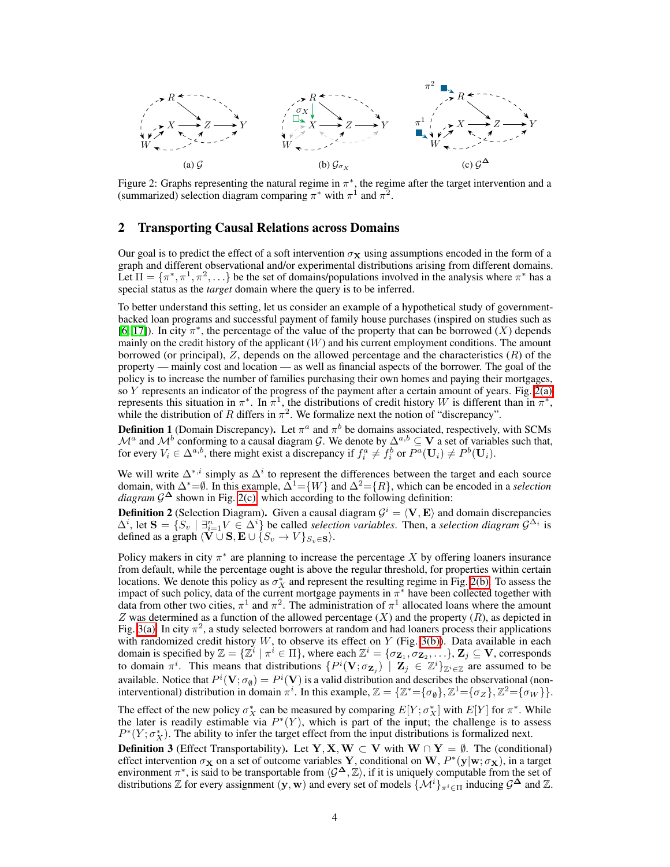<span id="page-3-0"></span>

Figure 2: Graphs representing the natural regime in  $\pi^*$ , the regime after the target intervention and a (summarized) selection diagram comparing  $\pi^*$  with  $\pi^1$  and  $\pi^2$ .

#### <span id="page-3-1"></span>2 Transporting Causal Relations across Domains

Our goal is to predict the effect of a soft intervention  $\sigma_{\bf X}$  using assumptions encoded in the form of a graph and different observational and/or experimental distributions arising from different domains. Let  $\Pi = {\pi^*, \pi^1, \pi^2, \ldots}$  be the set of domains/populations involved in the analysis where  $\pi^*$  has a special status as the *target* domain where the query is to be inferred.

To better understand this setting, let us consider an example of a hypothetical study of governmentbacked loan programs and successful payment of family house purchases (inspired on studies such as  $[6, 17]$  $[6, 17]$  $[6, 17]$ ). In city  $\pi^*$ , the percentage of the value of the property that can be borrowed (*X*) depends mainly on the credit history of the applicant (*W*) and his current employment conditions. The amount borrowed (or principal), *Z*, depends on the allowed percentage and the characteristics (*R*) of the property — mainly cost and location — as well as financial aspects of the borrower. The goal of the policy is to increase the number of families purchasing their own homes and paying their mortgages, so *Y* represents an indicator of the progress of the payment after a certain amount of years. Fig.  $\overline{2(a)}$ represents this situation in  $\pi^*$ . In  $\pi^1$ , the distributions of credit history *W* is different than in  $\pi^*$ , while the distribution of *R* differs in  $\pi^2$ . We formalize next the notion of "discrepancy".

**Definition 1** (Domain Discrepancy). Let  $\pi^a$  and  $\pi^b$  be domains associated, respectively, with SCMs  $\mathcal{M}^a$  and  $\mathcal{M}^b$  conforming to a causal diagram *G*. We denote by  $\Delta^{a,b} \subset \mathbf{V}$  a set of variables such that, for every  $V_i \in \Delta^{a,b}$ , there might exist a discrepancy if  $f_i^a \neq f_i^b$  or  $P^a(\mathbf{U}_i) \neq P^b(\mathbf{U}_i)$ .

We will write  $\Delta^{*,i}$  simply as  $\Delta^i$  to represent the differences between the target and each source domain, with  $\Delta^* = \emptyset$ . In this example,  $\Delta^1 = \{W\}$  and  $\Delta^2 = \{R\}$ , which can be encoded in a *selection diagram*  $\mathcal{G}^{\Delta}$  shown in Fig.  $\overline{2(c)}$ , which according to the following definition:

**Definition 2** (Selection Diagram). Given a causal diagram  $G^i = \langle V, E \rangle$  and domain discrepancies  $\Delta^i$ , let  $\mathbf{S} = \{S_v \mid \exists_{i=1}^n V \in \Delta^i\}$  be called *selection variables*. Then, a *selection diagram*  $\mathcal{G}^{\Delta_i}$  is defined as a graph  $\langle \mathbf{V} \cup \mathbf{S}, \mathbf{E} \cup \{S_v \to V\}_{S_v \in \mathbf{S}}\rangle$ .

Policy makers in city  $\pi^*$  are planning to increase the percentage X by offering loaners insurance from default, while the percentage ought is above the regular threshold, for properties within certain locations. We denote this policy as  $\sigma_X^*$  and represent the resulting regime in Fig. [2\(b\).](#page-3-0) To assess the impact of such policy, data of the current mortgage payments in  $\pi^*$  have been collected together with data from other two cities,  $\pi^1$  and  $\pi^2$ . The administration of  $\pi^1$  allocated loans where the amount *Z* was determined as a function of the allowed percentage (*X*) and the property (*R*), as depicted in Fig.  $3(a)$ . In city  $\pi^2$ , a study selected borrowers at random and had loaners process their applications with randomized credit history  $W$ , to observe its effect on  $Y$  (Fig.  $\overline{3(6)}$ ). Data available in each domain is specified by  $\mathbb{Z} = {\mathbb{Z}^i \mid \pi^i \in \Pi}$ , where each  $\mathbb{Z}^i = {\sigma_{\mathbf{Z}_1}, \sigma_{\mathbf{Z}_2}, \ldots}$ ,  $\mathcal{Z}_j \subseteq \mathbf{V}$ , corresponds to domain  $\pi^{i}$ . This means that distributions  $\{P^{i}(\mathbf{V}; \sigma_{\mathbf{Z}_{j}}) \mid \mathbf{Z}_{j} \in \mathbb{Z}^{i}\}_{\mathbb{Z}^{i} \in \mathbb{Z}}$  are assumed to be available. Notice that  $P^i(\mathbf{V}; \sigma_{\emptyset}) = P^i(\mathbf{V})$  is a valid distribution and describes the observational (noninterventional) distribution in domain  $\pi^i$ . In this example,  $\mathbb{Z} = {\mathbb{Z}^* = {\sigma_\emptyset}, \mathbb{Z}^1 = {\sigma_Z}, \mathbb{Z}^2 = {\sigma_W}}.$ 

The effect of the new policy  $\sigma_X^*$  can be measured by comparing  $E[Y; \sigma_X^*]$  with  $E[Y]$  for  $\pi^*$ . While the later is readily estimable via  $P^*(Y)$ , which is part of the input; the challenge is to assess  $P^*(Y; \sigma_X^*)$ . The ability to infer the target effect from the input distributions is formalized next.

**Definition 3** (Effect Transportability). Let  $Y, X, W \subset V$  with  $W \cap Y = \emptyset$ . The (conditional) effect intervention  $\sigma_X$  on a set of outcome variables Y, conditional on W,  $P^*(y|w; \sigma_X)$ , in a target environment  $\pi^*$ , is said to be transportable from  $\langle \mathcal{G}^{\Delta}, \mathbb{Z} \rangle$ , if it is uniquely computable from the set of distributions  $\mathbb{Z}$  for every assignment  $(y, w)$  and every set of models  $\{\mathcal{M}^i\}_{\pi^i \in \Pi}$  inducing  $\mathcal{G}^{\Delta}$  and  $\mathbb{Z}$ .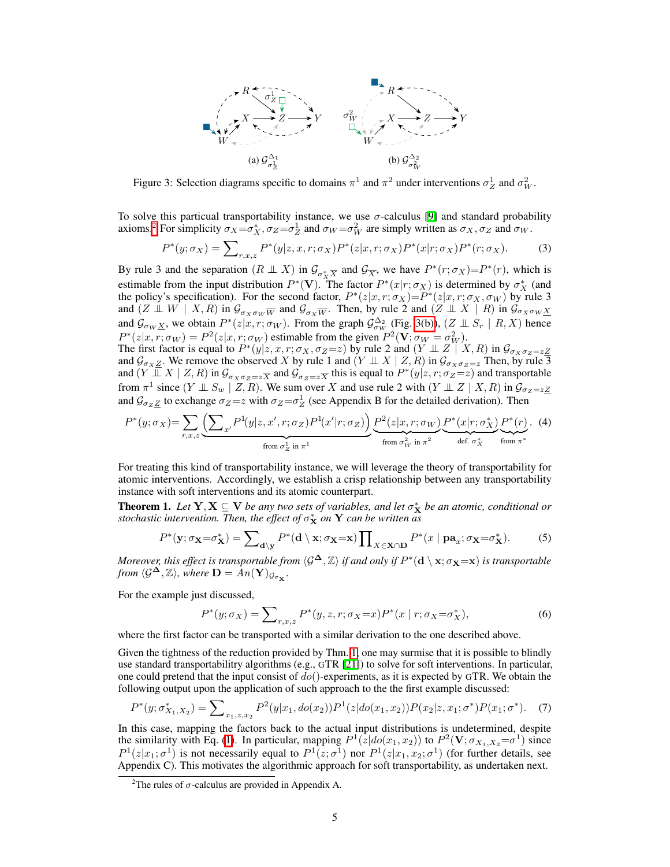<span id="page-4-0"></span>

Figure 3: Selection diagrams specific to domains  $\pi^1$  and  $\pi^2$  under interventions  $\sigma_Z^1$  and  $\sigma_W^2$ .

To solve this particual transportability instance, we use  $\sigma$ -calculus [\[9\]](#page-8-13) and standard probability axioms.  $2 \text{ For simplicity } \sigma_X = \sigma_X^*$ ,  $\sigma_Z = \sigma_Z^1$  and  $\sigma_W = \sigma_W^2$  are simply written as  $\sigma_X$ ,  $\sigma_Z$  and  $\sigma_W$ .

$$
P^*(y;\sigma_X) = \sum_{r,x,z} P^*(y|z,x,r;\sigma_X) P^*(z|x,r;\sigma_X) P^*(x|r;\sigma_X) P^*(r;\sigma_X).
$$
 (3)

By rule 3 and the separation  $(R \perp\!\!\!\perp X)$  in  $\mathcal{G}_{\sigma_X^*\overline{X}}$  and  $\mathcal{G}_{\overline{X}}$ , we have  $P^*(r; \sigma_X)=P^*(r)$ , which is estimable from the input distribution  $P^*(V)$ . The factor  $P^*(x|r; \sigma_X)$  is determined by  $\sigma_X^*$  (and the policy's specification). For the second factor,  $P^*(z|x, r; \sigma_X) = P^*(z|x, r; \sigma_X, \sigma_W)$  by rule 3 and  $(Z \perp\!\!\!\perp W \mid X, R)$  in  $\mathcal{G}_{\sigma_X \sigma_W \overline{W}}$  and  $\mathcal{G}_{\sigma_X \overline{W}}$ . Then, by rule 2 and  $(Z \perp\!\!\!\perp X \mid R)$  in  $\mathcal{G}_{\sigma_X \sigma_W \underline{X}}$ and  $\mathcal{G}_{\sigma_W \underline{X}}$ , we obtain  $P^*(z|x, r; \sigma_W)$ . From the graph  $\mathcal{G}_{\sigma_W}^{\Delta_2}$  (Fig. [3\(b\)\)](#page-4-0),  $(Z \perp\!\!\!\perp S_r | R, X)$  hence  $P^*(z|x, r; \sigma_W) = P^2(z|x, r; \sigma_W)$  estimable from the given  $P^2(\mathbf{V}; \overline{\sigma_W} = \sigma_W^2)$ .

The first factor is equal to  $P^*(y|z, x, r; \sigma_X, \sigma_Z=z)$  by rule 2 and  $(Y \perp Z \mid X, R)$  in  $\mathcal{G}_{\sigma_X \sigma_Z=zZ}$ and  $\mathcal{G}_{\sigma X Z}$ . We remove the observed *X* by rule 1 and  $(Y \perp\!\!\!\perp X \mid Z, R)$  in  $\mathcal{G}_{\sigma X \sigma Z = z}$  Then, by rule 3 and  $(Y \perp\!\!\!\perp X \mid Z, R)$  in  $\mathcal{G}_{\sigma_X \sigma_Z = z\overline{X}}$  and  $\mathcal{G}_{\sigma_Z = z\overline{X}}$  this is equal to  $P^*(y|z, r; \sigma_Z = z)$  and transportable from  $\pi^1$  since  $(Y \perp \!\!\!\perp S_w \mid Z, R)$ . We sum over *X* and use rule 2 with  $(Y \perp \!\!\!\perp Z \mid X, R)$  in  $\mathcal{G}_{\sigma_Z = z\underline{Z}}$ and  $\mathcal{G}_{\sigma_Z}$  to exchange  $\sigma_Z = z$  with  $\sigma_Z = \sigma_Z^1$  (see Appendix B for the detailed derivation). Then

$$
P^*(y;\sigma_X) = \sum_{r,x,z} \underbrace{\left(\sum_{x'} P^1(y|z,x',r;\sigma_Z) P^1(x'|r;\sigma_Z)\right)}_{\text{from }\sigma_Z^1 \text{ in }\pi^1} \underbrace{P^2(z|x,r;\sigma_W)}_{\text{from }\sigma_W^2 \text{ in }\pi^2} \underbrace{P^*(x|r;\sigma_X^*)}_{\text{def. }\sigma_X^*} \underbrace{P^*(r)}_{\text{from }\pi^*}.
$$
 (4)

For treating this kind of transportability instance, we will leverage the theory of transportability for atomic interventions. Accordingly, we establish a crisp relationship between any transportability instance with soft interventions and its atomic counterpart.

<span id="page-4-2"></span>**Theorem 1.** Let  $Y, X \subseteq V$  *be any two sets of variables, and let*  $\sigma_X^*$  *be an atomic, conditional or stochastic intervention. Then, the effect of*  $\sigma^*_{\mathbf{X}}$  *on*  $\mathbf{Y}$  *can be written as* 

$$
P^*(\mathbf{y}; \sigma_{\mathbf{X}} = \sigma_{\mathbf{X}}^*) = \sum_{\mathbf{d} \setminus \mathbf{y}} P^*(\mathbf{d} \setminus \mathbf{x}; \sigma_{\mathbf{X}} = \mathbf{x}) \prod_{X \in \mathbf{X} \cap \mathbf{D}} P^*(x \mid \mathbf{pa}_x; \sigma_{\mathbf{X}} = \sigma_{\mathbf{X}}^*).
$$
 (5)

*Moreover, this effect is transportable from*  $\langle G^{\Delta}, \mathbb{Z} \rangle$  *if and only if*  $P^*(d \setminus x; \sigma_{\mathbf{X}} = x)$  *is transportable from*  $\langle \mathcal{G}^{\mathbf{\Delta}}, \mathbb{Z} \rangle$ *, where*  $\mathbf{D} = \overline{A}n(\mathbf{Y})_{\mathcal{G}_{\sigma_{\mathbf{X}}}}$ *.* 

For the example just discussed,

$$
P^*(y; \sigma_X) = \sum_{r, x, z} P^*(y, z, r; \sigma_X = x) P^*(x | r; \sigma_X = \sigma_X^*),
$$
\n(6)

where the first factor can be transported with a similar derivation to the one described above.

Given the tightness of the reduction provided by Thm.  $\Pi$  one may surmise that it is possible to blindly use standard transportabilitry algorithms (e.g., GTR  $[21]$ ) to solve for soft interventions. In particular, one could pretend that the input consist of *do*()-experiments, as it is expected by GTR. We obtain the following output upon the application of such approach to the the first example discussed:

$$
P^*(y; \sigma_{X_1, X_2}^*) = \sum_{x_1, z, x_2} P^2(y|x_1, do(x_2))P^1(z|do(x_1, x_2))P(x_2|z, x_1; \sigma^*)P(x_1; \sigma^*).
$$
 (7)

In this case, mapping the factors back to the actual input distributions is undetermined, despite the similarity with Eq. [\(1\)](#page-1-1). In particular, mapping  $P^1(z|do(x_1, x_2))$  to  $P^2(\mathbf{V}; \sigma_{X_1, X_2} = \sigma^1)$  since  $P^1(z|x_1;\sigma^1)$  is not necessarily equal to  $P^1(z;\sigma^1)$  nor  $P^1(z|x_1,x_2;\sigma^1)$  (for further details, see Appendix C). This motivates the algorithmic approach for soft transportability, as undertaken next.

<span id="page-4-1"></span><sup>&</sup>lt;sup>2</sup>The rules of  $\sigma$ -calculus are provided in Appendix A.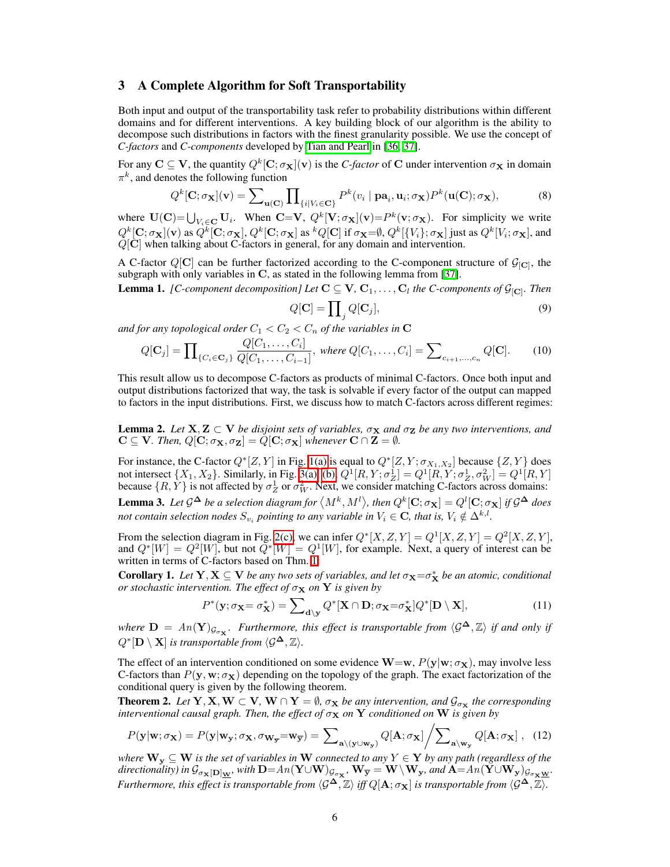#### 3 A Complete Algorithm for Soft Transportability

Both input and output of the transportability task refer to probability distributions within different domains and for different interventions. A key building block of our algorithm is the ability to decompose such distributions in factors with the finest granularity possible. We use the concept of *C-factors* and *C-components* developed by [Tian and Pearl](#page-9-5) in [\[36,](#page-9-5) [37\]](#page-9-17).

For any  $C \subseteq V$ , the quantity  $Q^k[C; \sigma_X](v)$  is the *C-factor* of C under intervention  $\sigma_X$  in domain  $\pi^k$ , and denotes the following function

$$
Q^{k}[\mathbf{C};\sigma_{\mathbf{X}}](\mathbf{v}) = \sum_{\mathbf{u}(\mathbf{C})} \prod_{\{i|V_{i}\in\mathbf{C}\}} P^{k}(v_{i} \mid \mathbf{pa}_{i}, \mathbf{u}_{i};\sigma_{\mathbf{X}}) P^{k}(\mathbf{u}(\mathbf{C});\sigma_{\mathbf{X}}),
$$
\n(8)

where  $\mathbf{U}(\mathbf{C}) = \bigcup_{V_i \in \mathbf{C}} \mathbf{U}_i$ . When  $\mathbf{C} = \mathbf{V}$ ,  $Q^k[\mathbf{V}; \sigma_{\mathbf{X}}](\mathbf{v}) = P^k(\mathbf{v}; \sigma_{\mathbf{X}})$ . For simplicity we write  $Q^k[\mathbf{C}; \sigma_{\mathbf{X}}](\mathbf{v})$  as  $Q^k[\mathbf{C}; \sigma_{\mathbf{X}}], Q^k[\mathbf{C}; \sigma_{\mathbf{X}}]$  as  ${}^kQ[\mathbf{C}]$  if  $\sigma_{\mathbf{X}} = \emptyset, Q^k[\{V_i\}; \sigma_{\mathbf{X}}]$  just as  $Q^k[V_i; \sigma_{\mathbf{X}}]$ , and *Q*[C] when talking about C-factors in general, for any domain and intervention.

A C-factor  $Q[\mathbf{C}]$  can be further factorized according to the C-component structure of  $\mathcal{G}_{[\mathbf{C}]}$ , the subgraph with only variables in C, as stated in the following lemma from  $[37]$ .

<span id="page-5-3"></span>**Lemma 1.** *[C-component decomposition] Let*  $C \subseteq V$ ,  $C_1, \ldots, C_l$  *the C-components of*  $\mathcal{G}_{[C]}$ *. Then* 

<span id="page-5-4"></span>
$$
Q[\mathbf{C}] = \prod_{j} Q[\mathbf{C}_{j}], \tag{9}
$$

and for any topological order  $C_1 < C_2 < C_n$  of the variables in  $\mathbf C$ 

$$
Q[\mathbf{C}_j] = \prod_{\{C_i \in \mathbf{C}_j\}} \frac{Q[C_1, \dots, C_i]}{Q[C_1, \dots, C_{i-1}]}, \text{ where } Q[C_1, \dots, C_i] = \sum_{c_{i+1}, \dots, c_n} Q[\mathbf{C}]. \tag{10}
$$

This result allow us to decompose C-factors as products of minimal C-factors. Once both input and output distributions factorized that way, the task is solvable if every factor of the output can mapped to factors in the input distributions. First, we discuss how to match C-factors across different regimes:

<span id="page-5-2"></span>**Lemma 2.** Let  $X, Z \subset V$  *be disjoint sets of variables,*  $\sigma_X$  *and*  $\sigma_Z$  *be any two interventions, and*  $\mathbf{C} \subseteq \mathbf{V}$ *. Then,*  $Q[\mathbf{C}; \sigma_{\mathbf{X}}, \sigma_{\mathbf{Z}}] = Q[\mathbf{C}; \sigma_{\mathbf{X}}]$  *whenever*  $\mathbf{C} \cap \mathbf{Z} = \emptyset$ *.* 

<span id="page-5-1"></span>For instance, the C-factor  $Q^*[Z, Y]$  in Fig. [1\(a\)](#page-1-0) is equal to  $Q^*[Z, Y; \sigma_{X_1, X_2}]$  because  $\{Z, Y\}$  does not intersect  $\{X_1, X_2\}$ . Similarly, in Fig.  $\frac{3(a)}{b}$   $\frac{b}{c}$ ,  $Q^1[R, Y; \sigma_Z^1] = Q^1[R, Y; \sigma_Z^2, \sigma_W^2] = Q^1[R, Y]$ because  $\{R, Y\}$  is not affected by  $\sigma_Z^1$  or  $\sigma_W^2$ . Next, we consider matching C-factors across domains: **Lemma 3.** Let  $G^{\Delta}$  be a selection diagram for  $\langle M^k, M^l \rangle$ , then  $Q^k[\mathbf{C}; \sigma_{\mathbf{X}}] = Q^l[\mathbf{C}; \sigma_{\mathbf{X}}]$  if  $G^{\Delta}$  does *not contain selection nodes*  $S_{v_i}$  *pointing to any variable in*  $V_i \in \mathbf{C}$ *, that is,*  $V_i \notin \Delta^{k,l}$ *.* 

From the selection diagram in Fig.  $\overline{2(c)}$ , we can infer  $Q^*[X, Z, Y] = Q^1[X, Z, Y] = Q^2[X, Z, Y]$ , and  $Q^*[W] = Q^2[W]$ , but not  $\overline{Q^*[\overline{W}]} = Q^1[W]$ , for example. Next, a query of interest can be written in terms of C-factors based on Thm. [1:](#page-4-2)

**Corollary 1.** Let  $Y, X \subseteq V$  be any two sets of variables, and let  $\sigma_X = \sigma_X^*$  be an atomic, conditional *or stochastic intervention. The effect of*  $\sigma_X$  *on* Y *is given by* 

$$
P^*(\mathbf{y}; \sigma_\mathbf{X} = \sigma_\mathbf{X}^*) = \sum_{\mathbf{d} \setminus \mathbf{y}} Q^*[\mathbf{X} \cap \mathbf{D}; \sigma_\mathbf{X} = \sigma_\mathbf{X}^*] Q^*[\mathbf{D} \setminus \mathbf{X}], \tag{11}
$$

*where*  $\mathbf{D} = An(\mathbf{Y})_{\mathcal{G}_{\sigma_{\mathbf{X}}}}$ *. Furthermore, this effect is transportable from*  $\langle \mathcal{G}^{\mathbf{\Delta}}, \mathbb{Z} \rangle$  *if and only if*  $Q^*$ [**D**  $\setminus$  **X**] *is transportable from*  $\langle G^{\Delta}, \mathbb{Z} \rangle$ *.* 

The effect of an intervention conditioned on some evidence  $\mathbf{W}=\mathbf{w}, P(\mathbf{y}|\mathbf{w}; \sigma_{\mathbf{X}})$ , may involve less C-factors than  $P(y, w; \sigma_X)$  depending on the topology of the graph. The exact factorization of the conditional query is given by the following theorem.

<span id="page-5-0"></span>**Theorem 2.** Let **Y**, **X**, **W**  $\subset$  **V**, **W**  $\cap$  **Y** =  $\emptyset$ ,  $\sigma$ **x** *be any intervention, and*  $\mathcal{G}_{\sigma$ **x** *the corresponding interventional causal graph. Then, the effect of*  $\sigma_\mathbf{X}$  *on*  $\mathbf{Y}$  *conditioned on*  $\mathbf{W}$  *is given by* 

$$
P(\mathbf{y}|\mathbf{w};\sigma_{\mathbf{X}}) = P(\mathbf{y}|\mathbf{w}_{\mathbf{y}};\sigma_{\mathbf{X}},\sigma_{\mathbf{W}_{\overline{\mathbf{y}}}} = \mathbf{w}_{\overline{\mathbf{y}}}) = \sum_{\mathbf{a}\backslash (\mathbf{y}\cup\mathbf{w}_{\mathbf{y}})} Q[\mathbf{A};\sigma_{\mathbf{X}}] / \sum_{\mathbf{a}\backslash \mathbf{w}_{\mathbf{y}}} Q[\mathbf{A};\sigma_{\mathbf{X}}] , \quad (12)
$$

*where*  $\mathbf{W}_y \subseteq \mathbf{W}$  *is the set of variables in*  $\mathbf{W}$  *connected to any*  $Y \in \mathbf{Y}$  *by any path (regardless of the directionality) in*  $\mathcal{G}_{\sigma_{\mathbf{X}}[\mathbf{D}]_{\mathbf{W}}}$ *, with*  $\mathbf{D}=An(\mathbf{Y}\cup\mathbf{W})_{\mathcal{G}_{\sigma_{\mathbf{X}}}}$ ,  $\mathbf{W}_{\overline{\mathbf{y}}}=\mathbf{W}\setminus\mathbf{W}_{\mathbf{y}}$ *, and*  $\mathbf{A}=An(\mathbf{Y}\cup\mathbf{W}_{\mathbf{y}})_{\mathcal{G}_{\sigma_{\mathbf{X}}}\mathbf{W}}$ . *Furthermore, this effect is transportable from*  $\langle G^{\mathbf{\Delta}}, \mathbb{Z} \rangle$  *iff*  $Q[\mathbf{A}; \sigma_{\mathbf{X}}]$  *is transportable from*  $\langle G^{\mathbf{\Delta}}, \mathbb{Z} \rangle$ *.*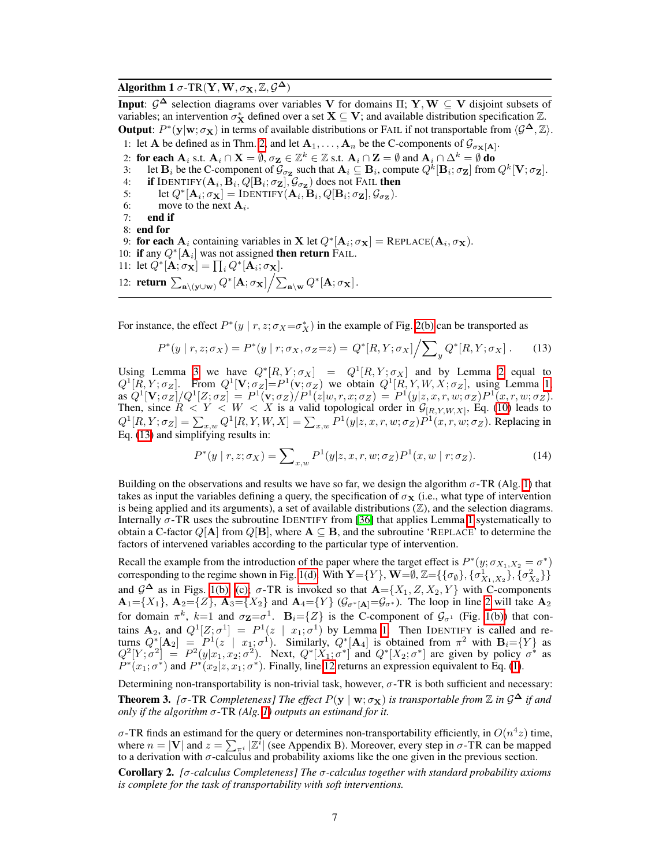<span id="page-6-1"></span>Algorithm 1  $\sigma$ -TR(Y, W,  $\sigma$ <sub>X</sub>, Z,  $\mathcal{G}^{\Delta}$ )

**Input:**  $G^{\Delta}$  selection diagrams over variables V for domains  $\Pi$ ;  $Y, W \subseteq V$  disjoint subsets of variables; an intervention  $\sigma_X^*$  defined over a set  $X \subseteq V$ ; and available distribution specification  $\mathbb{Z}$ . **Output**:  $P^*(y|w; \sigma_X)$  in terms of available distributions or FAIL if not transportable from  $\langle \mathcal{G}^{\mathbf{\Delta}}, \mathbb{Z} \rangle$ .

<span id="page-6-4"></span>1: let **A** be defined as in Thm.  $\boxed{2}$  and let  $A_1, \ldots, A_n$  be the C-components of  $\mathcal{G}_{\sigma_{\mathbf{X}}[A]}$ .

- <span id="page-6-2"></span>2: for each  $A_i$  s.t.  $A_i \cap X = \overline{\emptyset}$ ,  $\sigma_Z \in \mathbb{Z}^k \in \mathbb{Z}$  s.t.  $A_i \cap Z = \emptyset$  and  $A_i \cap \Delta^k = \emptyset$  do 3: let  $B_i$  be the C-component of  $\mathcal{G}_{\sigma_Z}$  such that  $A_i \subset B_i$ , compute  $Q^k[B_i; \sigma_Z]$  from
- <span id="page-6-6"></span>3: let  $\mathbf{B}_i$  be the C-component of  $\mathcal{G}_{\sigma_{\mathbf{Z}}}$  such that  $\mathbf{A}_i \subseteq \mathbf{B}_i$ , compute  $Q^k[\mathbf{B}_i; \sigma_{\mathbf{Z}}]$  from  $Q^k[\mathbf{V}; \sigma_{\mathbf{Z}}]$ .<br>4: **if** IDENTIFY( $\mathbf{A}_i$ ,  $\mathbf{B}_i$ ,  $Q[\mathbf{B}_i; \sigma_{\mathbf{Z}}]$ ,  $\mathcal{G}_{\sigma_{\math$
- 4: if IDENTIFY $(\mathbf{A}_i, \mathbf{B}_i, Q[\mathbf{B}_i; \sigma_{\mathbf{Z}}], \mathcal{G}_{\sigma_{\mathbf{Z}}})$  does not FAIL then<br>5: let  $Q^*[\mathbf{A}_i; \sigma_{\mathbf{X}}] = \text{IDENTIFY}(\mathbf{A}_i, \mathbf{B}_i, Q[\mathbf{B}_i; \sigma_{\mathbf{Z}}], \mathcal{G}_{\sigma_{\mathbf{Z}}}).$
- 5: let  $Q^*[\mathbf{A}_i; \sigma_{\mathbf{X}}] = \text{IDENTIFY}(\mathbf{A}_i, \mathbf{B}_i, Q[\mathbf{B}_i; \sigma_{\mathbf{Z}}], \mathcal{G}_{\sigma_{\mathbf{Z}}})$ .<br>6: move to the next  $\mathbf{A}_i$ .
- 6: move to the next  $A_i$ .<br>7: **end if** end if
- 8: end for
- 9: for each  $A_i$  containing variables in X let  $Q^* [A_i; \sigma_X] = \text{REPLACE}(A_i, \sigma_X)$ .
- 10: if any  $Q^*[\mathbf{A}_i]$  was not assigned then return FAIL.
- 11: let  $Q^*[\mathbf{A}; \sigma_{\mathbf{X}}] = \prod_i Q^*[\mathbf{A}_i; \sigma_{\mathbf{X}}].$

12: return 
$$
\sum_{\mathbf{a}\backslash(\mathbf{y}\cup\mathbf{w})} Q^*[\mathbf{A}; \sigma_{\mathbf{X}}] / \sum_{\mathbf{a}\backslash\mathbf{w}} Q^*[\mathbf{A}; \sigma_{\mathbf{X}}].
$$

For instance, the effect  $P^*(y | r, z; \sigma_X = \sigma_X^*)$  in the example of Fig. [2\(b\)](#page-3-0) can be transported as

<span id="page-6-5"></span><span id="page-6-3"></span>
$$
P^*(y \mid r, z; \sigma_X) = P^*(y \mid r; \sigma_X, \sigma_Z = z) = Q^*[R, Y; \sigma_X] / \sum_{y} Q^*[R, Y; \sigma_X].
$$
 (13)

Using Lemma [3](#page-5-1) we have  $Q^*[R, Y; \sigma_X] = Q^1[R, Y; \sigma_X]$  and by Lemma [2](#page-5-2) equal to  $Q^1[R, Y; \sigma_Z]$ . From  $Q^1[\mathbf{V}; \sigma_Z] = P^1(\mathbf{v}; \sigma_Z)$  we obtain  $Q^1[R, Y, W, X; \sigma_Z]$ , using Lemma [1,](#page-5-3) as  $Q^1[\mathbf{V};\sigma_Z]/Q^1[Z;\sigma_Z] = P^1(\mathbf{v};\sigma_Z)/P^1(z|w,r,x;\sigma_Z) = P^1(y|z,x,r,w;\sigma_Z)P^1(x,r,w;\sigma_Z).$ Then, since  $R < Y < W < X$  is a valid topological order in  $\mathcal{G}_{[R,Y,W,X]}$ , Eq. [\(10\)](#page-5-4) leads to  $Q^{1}[R,Y;\sigma_{Z}] = \sum_{x,w} Q^{1}[R,Y,W,X] = \sum_{x,w} P^{1}(y|z,x,r,w;\sigma_{Z})P^{1}(x,r,w;\sigma_{Z})$ . Replacing in Eq. [\(13\)](#page-6-0) and simplifying results in:

<span id="page-6-0"></span>
$$
P^*(y \mid r, z; \sigma_X) = \sum_{x, w} P^1(y \mid z, x, r, w; \sigma_Z) P^1(x, w \mid r; \sigma_Z).
$$
 (14)

Building on the observations and results we have so far, we design the algorithm  $\sigma$ -TR (Alg.  $\Pi$ ) that takes as input the variables defining a query, the specification of  $\sigma_X$  (i.e., what type of intervention is being applied and its arguments), a set of available distributions  $(\mathbb{Z})$ , and the selection diagrams. Internally  $\sigma$ -TR uses the subroutine IDENTIFY from [\[36\]](#page-9-5) that applies Lemma  $\Pi$  systematically to obtain a C-factor  $Q[A]$  from  $Q[B]$ , where  $A \subseteq B$ , and the subroutine 'REPLACE' to determine the factors of intervened variables according to the particular type of intervention.

Recall the example from the introduction of the paper where the target effect is  $P^*(y; \sigma_{X_1,X_2} = \sigma^*)$ corresponding to the regime shown in Fig.  $[1(d)]$  With  $\mathbf{Y} = \{Y\}$ ,  $\mathbf{W} = \emptyset$ ,  $\mathbb{Z} = \{\{\sigma_{\emptyset}\}, \{\sigma_{X_1,X_2}^1\}, \{\sigma_{X_2}^2\}\}\$ and  $\mathcal{G}^{\Delta}$  as in Figs.  $\overline{1(b)}$ ,  $\overline{(c)}$   $\sigma$ -TR is invoked so that  $\mathbf{A} = \{X_1, Z, X_2, Y\}$  with C-components  $A_1 = \{X_1\}$ ,  $A_2 = \{Z\}$ ,  $A_3 = \{X_2\}$  and  $A_4 = \{Y\}$  ( $\mathcal{G}_{\sigma^*[A]} = \mathcal{G}_{\sigma^*}$ ). The loop in line [2](#page-6-2) will take  $A_2$ for domain  $\pi^k$ ,  $k=1$  and  $\sigma_{\mathbf{Z}}=\sigma^1$ .  $\mathbf{B}_i=\{Z\}$  is the C-component of  $\mathcal{G}_{\sigma^1}$  (Fig. [1\(b\)\)](#page-1-0) that contains  $\mathbf{A}_2$ , and  $Q^1[Z; \sigma^1] = P^1(z | x_1; \sigma^1)$  by Lemma [1.](#page-5-3) Then IDENTIFY is called and returns  $Q^*$ [A<sub>2</sub>] =  $P^1(z | x_1; \sigma^1)$ . Similarly,  $Q^*$ [A<sub>4</sub>] is obtained from  $\pi^2$  with  $B_i = \{Y\}$  as  $Q^2[Y;\sigma^2] = P^2(y|x_1, x_2; \sigma^2)$ . Next,  $Q^*[X_1;\sigma^*]$  and  $Q^*[X_2;\sigma^*]$  are given by policy  $\sigma^*$  as  $P^*(x_1;\sigma^*)$  and  $P^*(x_2|z,x_1;\sigma^*)$ . Finally, line [12](#page-6-3) returns an expression equivalent to Eq. [\(1\)](#page-1-1).

<span id="page-6-7"></span>Determining non-transportability is non-trivial task, however,  $\sigma$ -TR is both sufficient and necessary: **Theorem 3.** [ $\sigma$ -TR *Completeness] The effect*  $P(y | w; \sigma_X)$  *is transportable from*  $\mathbb Z$  *in*  $G^{\Delta}$  *if and only if the algorithm*  $\sigma$ -TR (Alg.  $\overline{I}$ ) *outputs an estimand for it.* 

 $\sigma$ -TR finds an estimand for the query or determines non-transportability efficiently, in  $O(n^4z)$  time, where  $n = |V|$  and  $z = \sum_{\tau} i |Z^i|$  (see Appendix B). Moreover, every step in  $\sigma$ -TR can be mapped to a derivation with  $\sigma$ -calculus and probability axioms like the one given in the previous section.

<span id="page-6-8"></span>Corollary 2. *[-calculus Completeness] The -calculus together with standard probability axioms is complete for the task of transportability with soft interventions.*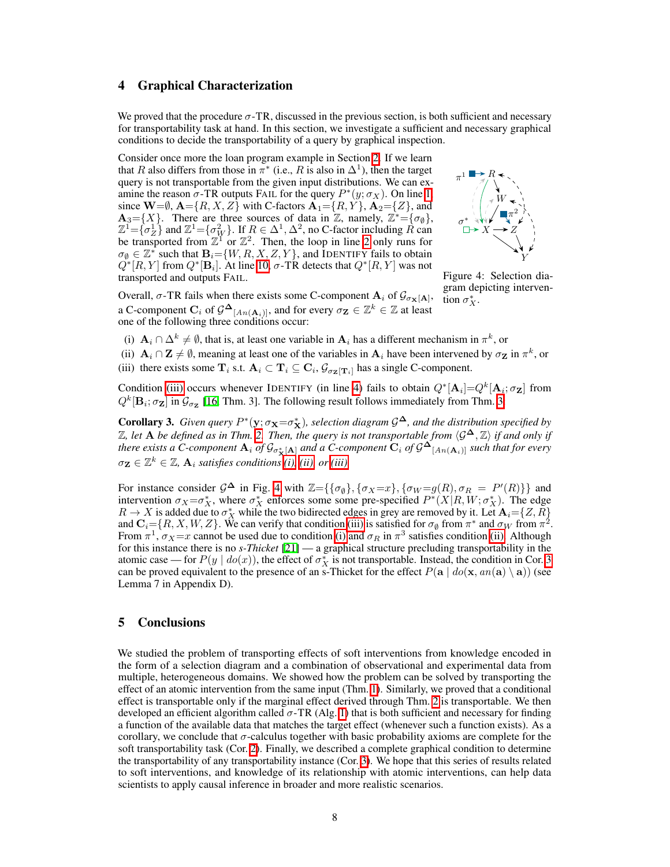#### 4 Graphical Characterization

We proved that the procedure  $\sigma$ -TR, discussed in the previous section, is both sufficient and necessary for transportability task at hand. In this section, we investigate a sufficient and necessary graphical conditions to decide the transportability of a query by graphical inspection.

Consider once more the loan program example in Section  $\sqrt{2}$ . If we learn that *R* also differs from those in  $\pi^*$  (i.e., *R* is also in  $\Delta^1$ ), then the target query is not transportable from the given input distributions. We can examine the reason  $\sigma$ -TR outputs FAIL for the query  $P^*(y; \sigma_X)$ . On line  $\Pi$ since  $\mathbf{W} = \emptyset$ ,  $\mathbf{A} = \{R, X, Z\}$  with C-factors  $\mathbf{A}_1 = \{R, Y\}$ ,  $\mathbf{A}_2 = \{Z\}$ , and  $\mathbf{A}_3 = \{X\}$ . There are three sources of data in  $\mathbb{Z}$ , namely,  $\mathbb{Z}^* = \{\sigma_\emptyset\}$ ,  $\mathbb{Z}^1 = {\sigma_Z^1}$  and  $\mathbb{Z}^1 = {\sigma_W^2}$ . If  $R \in \Delta^1, \Delta^2$ , no C-factor including *R* can be transported from  $\mathbb{Z}^1$  or  $\mathbb{Z}^2$ . Then, the loop in line  $2$  only runs for  $\sigma_{\emptyset} \in \mathbb{Z}^*$  such that  $\mathbf{B}_i = \{W, R, X, Z, Y\}$ , and IDENTIFY fails to obtain  $Q^*[R, Y]$  from  $Q^*[\mathbf{B}_i]$ . At line  $[10]$   $\sigma$ -TR detects that  $Q^*[R, Y]$  was not transported and outputs FAIL.

<span id="page-7-3"></span>

Figure 4: Selection diagram depicting intervention  $\sigma_X^*$ .

Overall,  $\sigma$ -TR fails when there exists some C-component  $A_i$  of  $\mathcal{G}_{\sigma_{\mathbf{X}}[A]}$ , a C-component  $\mathbf{C}_i$  of  $\mathcal{G}^{\mathbf{\Delta}}_{[An(\mathbf{A}_i)]}$ , and for every  $\sigma_{\mathbf{Z}} \in \mathbb{Z}^k \in \mathbb{Z}$  at least one of the following three conditions occur:

<span id="page-7-1"></span>(i)  $A_i \cap \Delta^k \neq \emptyset$ , that is, at least one variable in  $A_i$  has a different mechanism in  $\pi^k$ , or

<span id="page-7-2"></span><span id="page-7-0"></span>(ii)  $A_i \cap Z \neq \emptyset$ , meaning at least one of the variables in  $A_i$  have been intervened by  $\sigma_Z$  in  $\pi^k$ , or (iii) there exists some  $T_i$  s.t.  $A_i \subset T_i \subseteq C_i$ ,  $\mathcal{G}_{\sigma z}[T_i]$  has a single C-component.

Condition  $(iii)$  occurs whenever IDENTIFY (in line  $\overline{A}$ ) fails to obtain  $Q^*[\mathbf{A}_i]=Q^k[\mathbf{A}_i;\sigma_{\mathbf{Z}}]$  from  $Q^k[\mathbf{B}_i; \sigma_{\mathbf{Z}}]$  in  $\mathcal{G}_{\sigma_{\mathbf{Z}}}$  [\[16,](#page-8-17) Thm. 3]. The following result follows immediately from Thm.  $\beta$ :

<span id="page-7-4"></span>**Corollary 3.** Given query  $P^*(y; \sigma_X = \sigma_X^*)$ , selection diagram  $\mathcal{G}^{\Delta}$ , and the distribution specified by  $\mathbb{Z}$ , let **A** be defined as in Thm.  $2$ . Then, the query is not transportable from  $\langle G^{\mathbf{\Delta}}, \mathbb{Z} \rangle$  if and only if *there exists a C-component*  $A_i$  *of*  $\mathcal{G}_{\sigma^*_\mathbf{X}}[A]$  and a C-component  $C_i$  of  $\mathcal{G}^{\mathbf{A}}_{[An(\mathbf{A}_i)]}$  such that for every  $\sigma_{\mathbf{Z}} \in \mathbb{Z}^k \in \mathbb{Z}$ ,  $\mathbf{A}_i$  satisfies conditions *(i)*, *(ii)*, *or (iii)* 

For instance consider  $\mathcal{G}^{\Delta}$  in Fig.  $\mathcal{A}$  with  $\mathbb{Z} = \{\{\sigma_{\emptyset}\}, \{\sigma_X = x\}, \{\sigma_W = g(R), \sigma_R = P'(R)\}\}\$ and intervention  $\sigma_X = \sigma_X^*$ , where  $\sigma_X^*$  enforces some some pre-specified  $P^*(X|R, W; \sigma_X^*)$ . The edge  $R \to X$  is added due to  $\sigma_X^*$  while the two bidirected edges in grey are removed by it. Let  $\mathbf{A}_i = \{Z, R\}$ and  $C_i = \{R, X, W, Z\}$ . We can verify that condition [\(iii\)](#page-7-0) is satisfied for  $\sigma_{\emptyset}$  from  $\pi^*$  and  $\sigma_W$  from  $\pi^2$ . From  $\pi^1$ ,  $\sigma_X = x$  cannot be used due to condition [\(i\)](#page-7-1) and  $\sigma_R$  in  $\pi^3$  satisfies condition (iii). Although for this instance there is no *s-Thicket* [\[21\]](#page-9-4) — a graphical structure precluding transportability in the atomic case — for  $P(y | do(x))$ , the effect of  $\sigma_X^*$  is not transportable. Instead, the condition in Cor.  $\beta$ can be proved equivalent to the presence of an s-Thicket for the effect  $P(a \mid do(\mathbf{x}, an(a) \setminus \mathbf{a}))$  (see Lemma 7 in Appendix D).

# 5 Conclusions

We studied the problem of transporting effects of soft interventions from knowledge encoded in the form of a selection diagram and a combination of observational and experimental data from multiple, heterogeneous domains. We showed how the problem can be solved by transporting the effect of an atomic intervention from the same input (Thm.  $\pi$ ). Similarly, we proved that a conditional effect is transportable only if the marginal effect derived through Thm. [2](#page-5-0) is transportable. We then developed an efficient algorithm called  $\sigma$ -TR (Alg.  $\Pi$ ) that is both sufficient and necessary for finding a function of the available data that matches the target effect (whenever such a function exists). As a corollary, we conclude that  $\sigma$ -calculus together with basic probability axioms are complete for the soft transportability task (Cor.  $\boxed{2}$ ). Finally, we described a complete graphical condition to determine the transportability of any transportability instance  $(Cor.\overline{3})$ . We hope that this series of results related to soft interventions, and knowledge of its relationship with atomic interventions, can help data scientists to apply causal inference in broader and more realistic scenarios.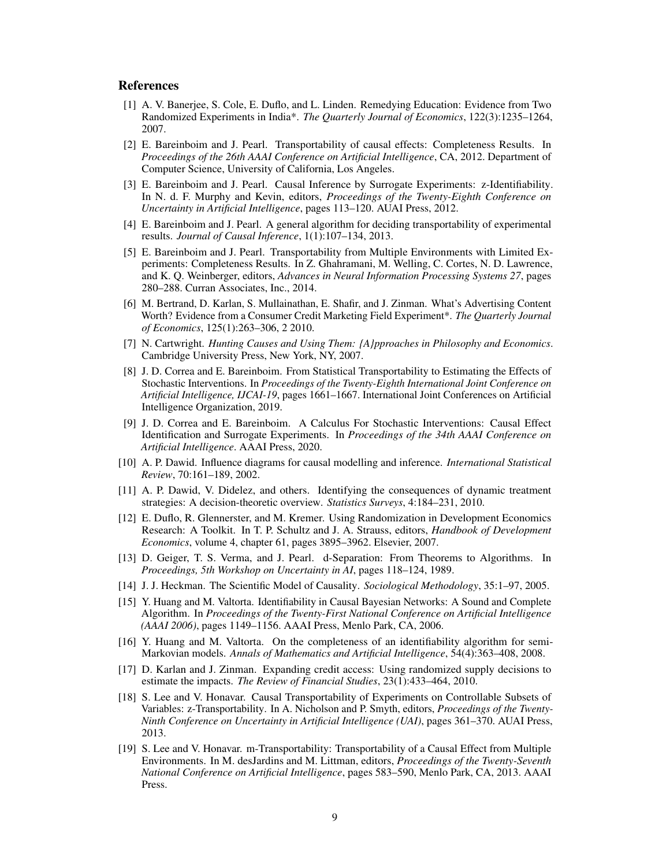#### References

- <span id="page-8-0"></span>[1] A. V. Banerjee, S. Cole, E. Duflo, and L. Linden. Remedying Education: Evidence from Two Randomized Experiments in India\*. *The Quarterly Journal of Economics*, 122(3):1235–1264, 2007.
- <span id="page-8-2"></span>[2] E. Bareinboim and J. Pearl. Transportability of causal effects: Completeness Results. In *Proceedings of the 26th AAAI Conference on Artificial Intelligence*, CA, 2012. Department of Computer Science, University of California, Los Angeles.
- <span id="page-8-8"></span>[3] E. Bareinboim and J. Pearl. Causal Inference by Surrogate Experiments: z-Identifiability. In N. d. F. Murphy and Kevin, editors, *Proceedings of the Twenty-Eighth Conference on Uncertainty in Artificial Intelligence*, pages 113–120. AUAI Press, 2012.
- <span id="page-8-5"></span>[4] E. Bareinboim and J. Pearl. A general algorithm for deciding transportability of experimental results. *Journal of Causal Inference*, 1(1):107–134, 2013.
- <span id="page-8-6"></span>[5] E. Bareinboim and J. Pearl. Transportability from Multiple Environments with Limited Experiments: Completeness Results. In Z. Ghahramani, M. Welling, C. Cortes, N. D. Lawrence, and K. Q. Weinberger, editors, *Advances in Neural Information Processing Systems 27*, pages 280–288. Curran Associates, Inc., 2014.
- <span id="page-8-15"></span>[6] M. Bertrand, D. Karlan, S. Mullainathan, E. Shafir, and J. Zinman. What's Advertising Content Worth? Evidence from a Consumer Credit Marketing Field Experiment\*. *The Quarterly Journal of Economics*, 125(1):263–306, 2 2010.
- <span id="page-8-10"></span>[7] N. Cartwright. *Hunting Causes and Using Them: {A}pproaches in Philosophy and Economics*. Cambridge University Press, New York, NY, 2007.
- <span id="page-8-12"></span>[8] J. D. Correa and E. Bareinboim. From Statistical Transportability to Estimating the Effects of Stochastic Interventions. In *Proceedings of the Twenty-Eighth International Joint Conference on Artificial Intelligence, IJCAI-19*, pages 1661–1667. International Joint Conferences on Artificial Intelligence Organization, 2019.
- <span id="page-8-13"></span>[9] J. D. Correa and E. Bareinboim. A Calculus For Stochastic Interventions: Causal Effect Identification and Surrogate Experiments. In *Proceedings of the 34th AAAI Conference on Artificial Intelligence*. AAAI Press, 2020.
- <span id="page-8-14"></span>[10] A. P. Dawid. Influence diagrams for causal modelling and inference. *International Statistical Review*, 70:161–189, 2002.
- <span id="page-8-11"></span>[11] A. P. Dawid, V. Didelez, and others. Identifying the consequences of dynamic treatment strategies: A decision-theoretic overview. *Statistics Surveys*, 4:184–231, 2010.
- <span id="page-8-1"></span>[12] E. Duflo, R. Glennerster, and M. Kremer. Using Randomization in Development Economics Research: A Toolkit. In T. P. Schultz and J. A. Strauss, editors, *Handbook of Development Economics*, volume 4, chapter 61, pages 3895–3962. Elsevier, 2007.
- [13] D. Geiger, T. S. Verma, and J. Pearl. d-Separation: From Theorems to Algorithms. In *Proceedings, 5th Workshop on Uncertainty in AI*, pages 118–124, 1989.
- <span id="page-8-9"></span>[14] J. J. Heckman. The Scientific Model of Causality. *Sociological Methodology*, 35:1–97, 2005.
- <span id="page-8-7"></span>[15] Y. Huang and M. Valtorta. Identifiability in Causal Bayesian Networks: A Sound and Complete Algorithm. In *Proceedings of the Twenty-First National Conference on Artificial Intelligence (AAAI 2006)*, pages 1149–1156. AAAI Press, Menlo Park, CA, 2006.
- <span id="page-8-17"></span>[16] Y. Huang and M. Valtorta. On the completeness of an identifiability algorithm for semi-Markovian models. *Annals of Mathematics and Artificial Intelligence*, 54(4):363–408, 2008.
- <span id="page-8-16"></span>[17] D. Karlan and J. Zinman. Expanding credit access: Using randomized supply decisions to estimate the impacts. *The Review of Financial Studies*, 23(1):433–464, 2010.
- <span id="page-8-3"></span>[18] S. Lee and V. Honavar. Causal Transportability of Experiments on Controllable Subsets of Variables: z-Transportability. In A. Nicholson and P. Smyth, editors, *Proceedings of the Twenty-Ninth Conference on Uncertainty in Artificial Intelligence (UAI)*, pages 361–370. AUAI Press, 2013.
- <span id="page-8-4"></span>[19] S. Lee and V. Honavar. m-Transportability: Transportability of a Causal Effect from Multiple Environments. In M. desJardins and M. Littman, editors, *Proceedings of the Twenty-Seventh National Conference on Artificial Intelligence*, pages 583–590, Menlo Park, CA, 2013. AAAI Press.